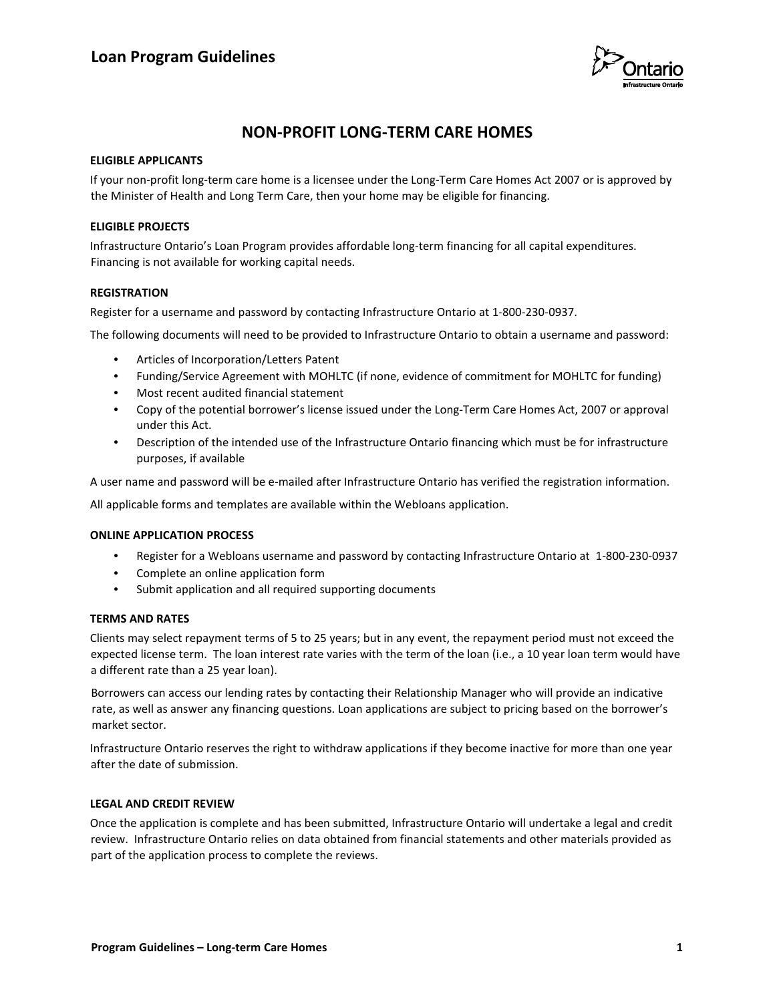

## **NON-PROFIT LONG-TERM CARE HOMES**

## **ELIGIBLE APPLICANTS**

If your non-profit long-term care home is a licensee under the Long-Term Care Homes Act 2007 or is approved by the Minister of Health and Long Term Care, then your home may be eligible for financing.

## **ELIGIBLE PROJECTS**

Infrastructure Ontario's Loan Program provides affordable long-term financing for all capital expenditures. Financing is not available for working capital needs.

### **REGISTRATION**

Register for a username and password by contacting Infrastructure Ontario at 1-800-230-0937.

The following documents will need to be provided to Infrastructure Ontario to obtain a username and password:

- Articles of Incorporation/Letters Patent
- Funding/Service Agreement with MOHLTC (if none, evidence of commitment for MOHLTC for funding)
- Most recent audited financial statement
- Copy of the potential borrower's license issued under the Long-Term Care Homes Act, 2007 or approval under this Act.
- Description of the intended use of the Infrastructure Ontario financing which must be for infrastructure purposes, if available

A user name and password will be e-mailed after Infrastructure Ontario has verified the registration information.

All applicable forms and templates are available within the Webloans application.

#### **ONLINE APPLICATION PROCESS**

- Register for a Webloans username and password by contacting Infrastructure Ontario at 1-800-230-0937
- Complete an online application form
- Submit application and all required supporting documents

#### **TERMS AND RATES**

Clients may select repayment terms of 5 to 25 years; but in any event, the repayment period must not exceed the expected license term. The loan interest rate varies with the term of the loan (i.e., a 10 year loan term would have a different rate than a 25 year loan).

Borrowers can access our lending rates by contacting their Relationship Manager who will provide an indicative rate, as well as answer any financing questions. Loan applications are subject to pricing based on the borrower's market sector.

Infrastructure Ontario reserves the right to withdraw applications if they become inactive for more than one year after the date of submission.

## **LEGAL AND CREDIT REVIEW**

Once the application is complete and has been submitted, Infrastructure Ontario will undertake a legal and credit review. Infrastructure Ontario relies on data obtained from financial statements and other materials provided as part of the application process to complete the reviews.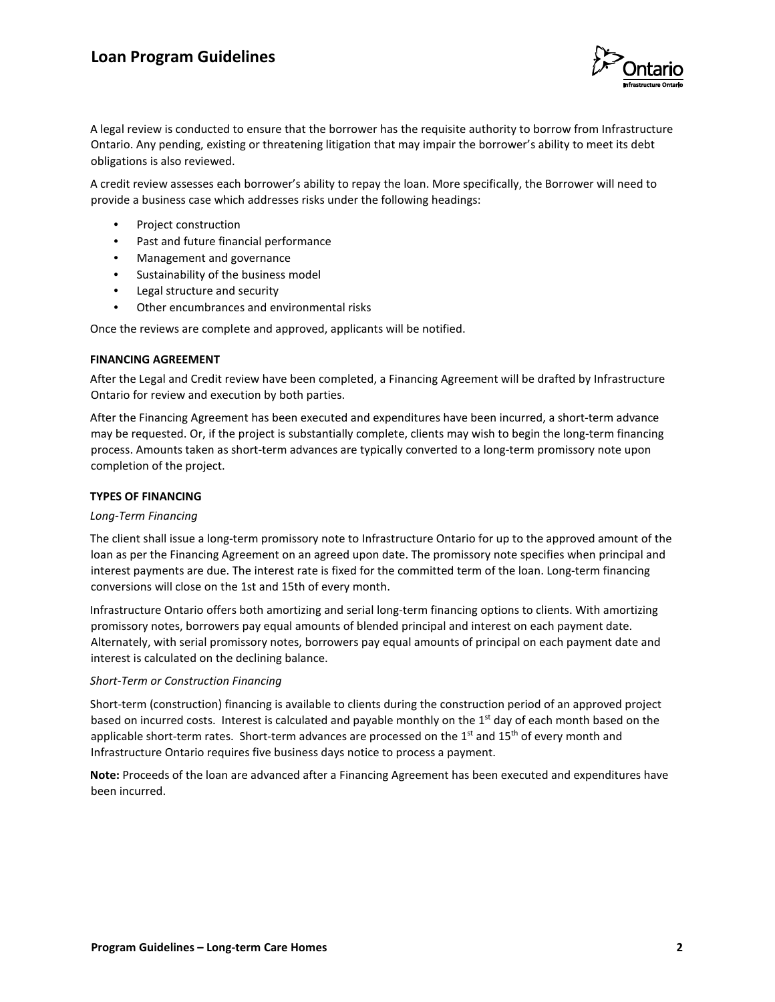## **Loan Program Guidelines**



A legal review is conducted to ensure that the borrower has the requisite authority to borrow from Infrastructure Ontario. Any pending, existing or threatening litigation that may impair the borrower's ability to meet its debt obligations is also reviewed.

A credit review assesses each borrower's ability to repay the loan. More specifically, the Borrower will need to provide a business case which addresses risks under the following headings:

- Project construction
- Past and future financial performance
- Management and governance
- Sustainability of the business model
- Legal structure and security
- Other encumbrances and environmental risks

Once the reviews are complete and approved, applicants will be notified.

#### **FINANCING AGREEMENT**

After the Legal and Credit review have been completed, a Financing Agreement will be drafted by Infrastructure Ontario for review and execution by both parties.

After the Financing Agreement has been executed and expenditures have been incurred, a short-term advance may be requested. Or, if the project is substantially complete, clients may wish to begin the long-term financing process. Amounts taken as short-term advances are typically converted to a long-term promissory note upon completion of the project.

#### **TYPES OF FINANCING**

#### *Long-Term Financing*

The client shall issue a long-term promissory note to Infrastructure Ontario for up to the approved amount of the loan as per the Financing Agreement on an agreed upon date. The promissory note specifies when principal and interest payments are due. The interest rate is fixed for the committed term of the loan. Long-term financing conversions will close on the 1st and 15th of every month.

Infrastructure Ontario offers both amortizing and serial long-term financing options to clients. With amortizing promissory notes, borrowers pay equal amounts of blended principal and interest on each payment date. Alternately, with serial promissory notes, borrowers pay equal amounts of principal on each payment date and interest is calculated on the declining balance.

#### *Short-Term or Construction Financing*

Short-term (construction) financing is available to clients during the construction period of an approved project based on incurred costs. Interest is calculated and payable monthly on the 1<sup>st</sup> day of each month based on the applicable short-term rates. Short-term advances are processed on the  $1<sup>st</sup>$  and  $15<sup>th</sup>$  of every month and Infrastructure Ontario requires five business days notice to process a payment.

**Note:** Proceeds of the loan are advanced after a Financing Agreement has been executed and expenditures have been incurred.